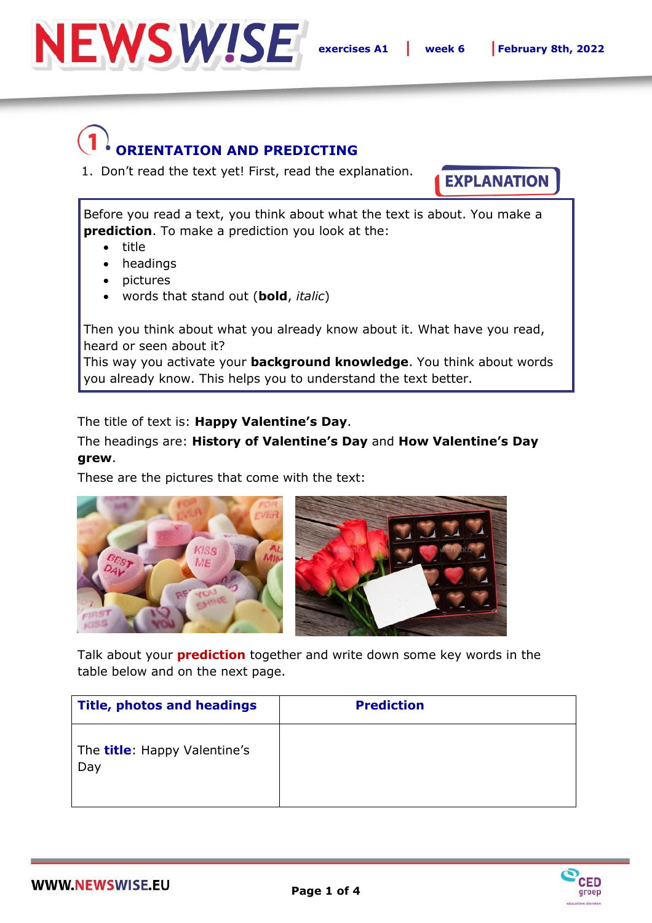

## **ORIENTATION AND PREDICTING**

1. Don't read the text yet! First, read the explanation.

**EXPLANATION** 

Before you read a text, you think about what the text is about. You make a **prediction**. To make a prediction you look at the:

- title
- headings
- pictures
- words that stand out (**bold**, *italic*)

Then you think about what you already know about it. What have you read, heard or seen about it?

This way you activate your **background knowledge**. You think about words you already know. This helps you to understand the text better.

The title of text is: **Happy Valentine's Day**.

The headings are: **History of Valentine's Day** and **How Valentine's Day grew**.

These are the pictures that come with the text:



Talk about your **prediction** together and write down some key words in the table below and on the next page.

| <b>Title, photos and headings</b>           | <b>Prediction</b> |
|---------------------------------------------|-------------------|
| The <b>title</b> : Happy Valentine's<br>Day |                   |

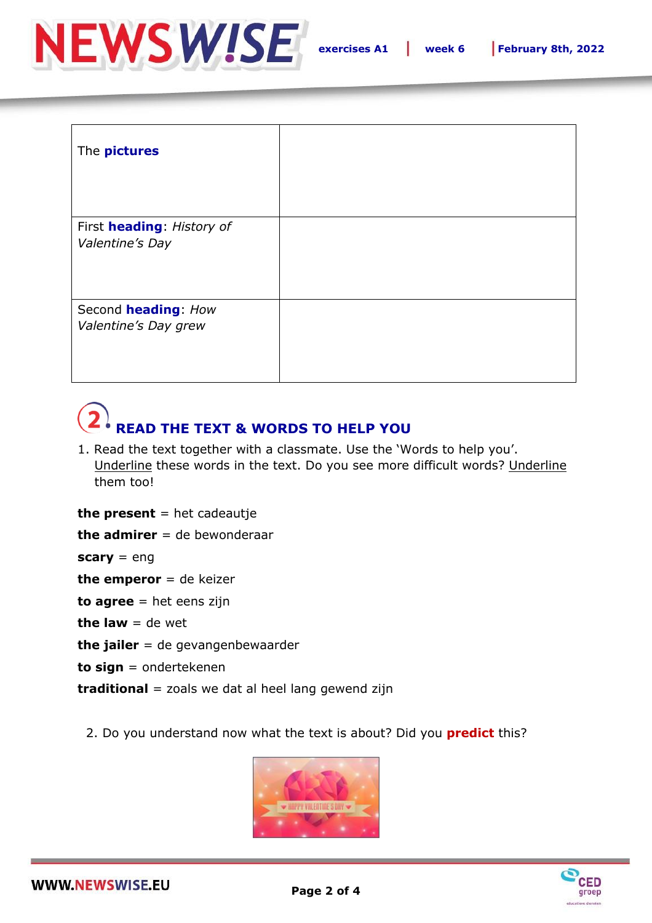

| The <b>pictures</b>                          |  |
|----------------------------------------------|--|
| First heading: History of<br>Valentine's Day |  |
| Second heading: How<br>Valentine's Day grew  |  |

## **READ THE TEXT & WORDS TO HELP YOU**

1. Read the text together with a classmate. Use the 'Words to help you'. Underline these words in the text. Do you see more difficult words? Underline them too!

**the present** = het cadeautje

**the admirer** = de bewonderaar

**scary** = eng

**the emperor** = de keizer

**to agree** = het eens zijn

**the law**  $=$  de wet

**the jailer** = de gevangenbewaarder

**to sign** = ondertekenen

**traditional** = zoals we dat al heel lang gewend zijn

2. Do you understand now what the text is about? Did you **predict** this?



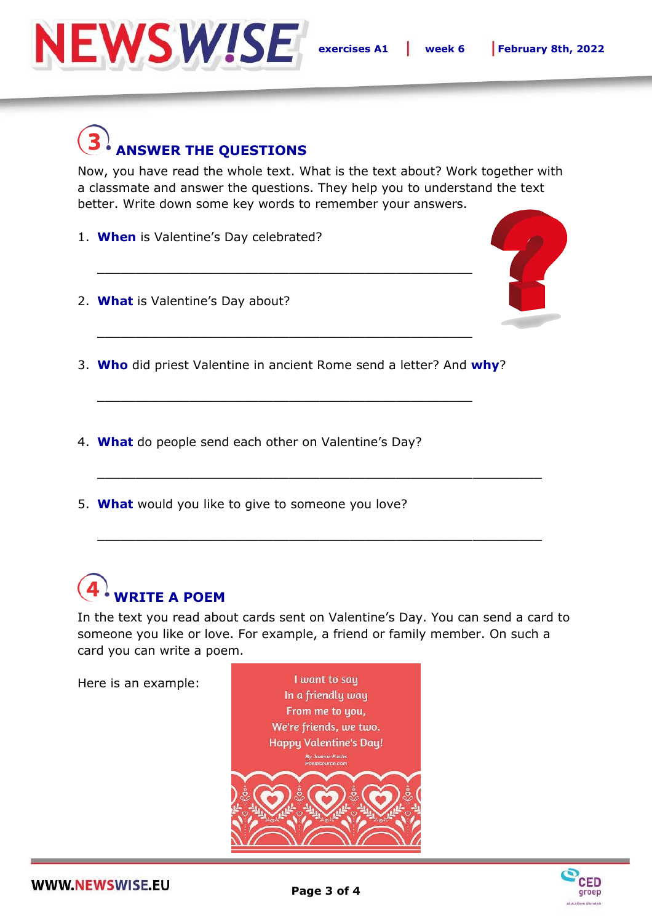

## **ANSWER THE QUESTIONS**

Now, you have read the whole text. What is the text about? Work together with a classmate and answer the questions. They help you to understand the text better. Write down some key words to remember your answers.

- 1. **When** is Valentine's Day celebrated?
- 2. **What** is Valentine's Day about?



3. **Who** did priest Valentine in ancient Rome send a letter? And **why**?

\_\_\_\_\_\_\_\_\_\_\_\_\_\_\_\_\_\_\_\_\_\_\_\_\_\_\_\_\_\_\_\_\_\_\_\_\_\_\_\_\_\_\_\_\_\_\_\_\_

\_\_\_\_\_\_\_\_\_\_\_\_\_\_\_\_\_\_\_\_\_\_\_\_\_\_\_\_\_\_\_\_\_\_\_\_\_\_\_\_\_\_\_\_\_\_\_\_\_

\_\_\_\_\_\_\_\_\_\_\_\_\_\_\_\_\_\_\_\_\_\_\_\_\_\_\_\_\_\_\_\_\_\_\_\_\_\_\_\_\_\_\_\_\_\_\_\_\_

- 4. **What** do people send each other on Valentine's Day?
- 5. **What** would you like to give to someone you love?

## **WRITE A POEM**

In the text you read about cards sent on Valentine's Day. You can send a card to someone you like or love. For example, a friend or family member. On such a card you can write a poem.

\_\_\_\_\_\_\_\_\_\_\_\_\_\_\_\_\_\_\_\_\_\_\_\_\_\_\_\_\_\_\_\_\_\_\_\_\_\_\_\_\_\_\_\_\_\_\_\_\_\_\_\_\_\_\_\_\_\_

\_\_\_\_\_\_\_\_\_\_\_\_\_\_\_\_\_\_\_\_\_\_\_\_\_\_\_\_\_\_\_\_\_\_\_\_\_\_\_\_\_\_\_\_\_\_\_\_\_\_\_\_\_\_\_\_\_\_

Here is an example: